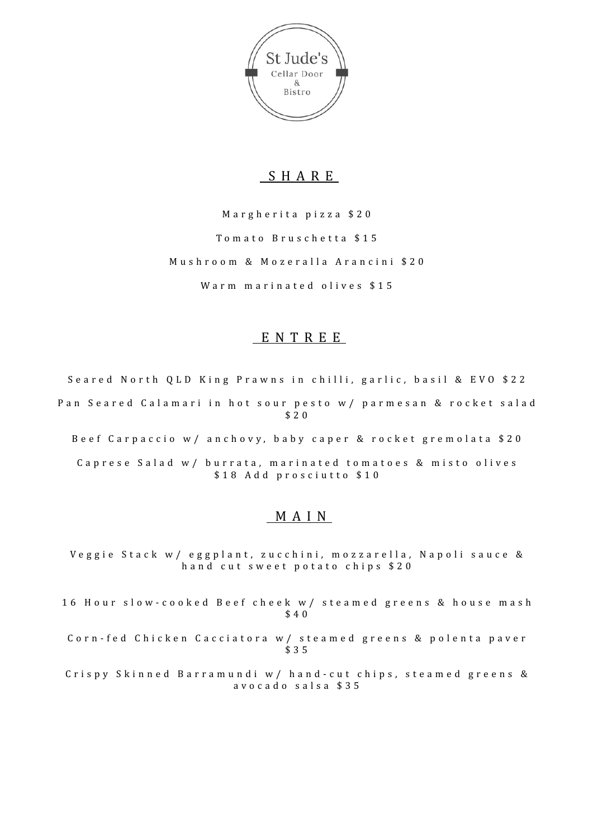

# SHARE

Margherita pizza \$20 Tomato Bruschetta \$15 Mushroom & Mozeralla Arancini \$20 Warm marinated olives \$15

# ENTREE

Seared North QLD King Prawns in chilli, garlic, basil & EVO \$22 Pan Seared Calamari in hot sour pesto w/ parmesan & rocket salad \$20

Beef Carpaccio w/ anchovy, baby caper & rocket gremolata \$20

Caprese Salad w/ burrata, marinated tomatoes & misto olives \$18 Add prosciutto \$10

### MAIN

Veggie Stack w/ eggplant, zucchini, mozzarella, Napoli sauce & hand cut sweet potato chips \$20

16 Hour slow-cooked Beef cheek w/ steamed greens & house mash \$40

Corn-fed Chicken Cacciatora w/ steamed greens & polenta paver \$35

Crispy Skinned Barramundi w/ hand-cut chips, steamed greens & avocado salsa \$35